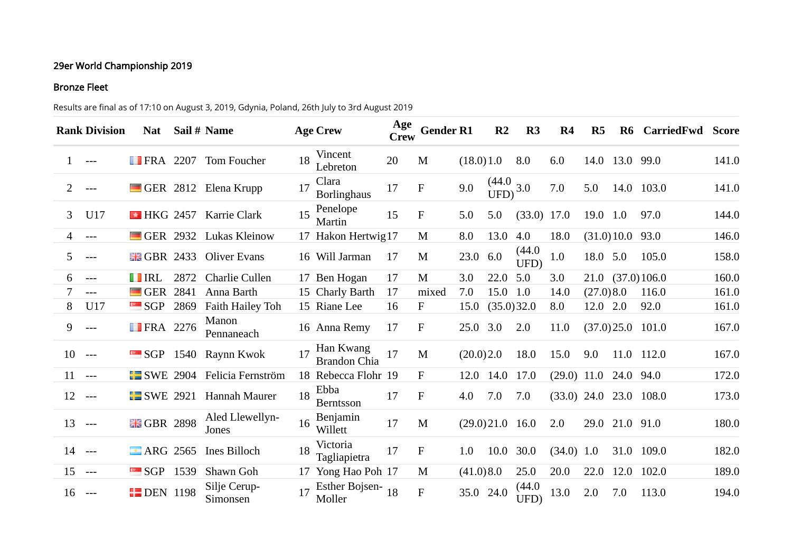## 29er World Championship 2019

## Bronze Fleet

Results are final as of 17:10 on August 3, 2019, Gdynia, Poland, 26th July to 3rd August 2019

|                | <b>Rank Division</b> | <b>Nat</b>                |      | Sail # Name              |    | <b>Age Crew</b>                  | Age<br><b>Crew</b> | <b>Gender R1</b> |           | R <sub>2</sub>           | R <sub>3</sub> | R <sub>4</sub> | R <sub>5</sub> | R <sub>6</sub> | CarriedFwd Score  |       |
|----------------|----------------------|---------------------------|------|--------------------------|----|----------------------------------|--------------------|------------------|-----------|--------------------------|----------------|----------------|----------------|----------------|-------------------|-------|
| $\mathbf{1}$   | $---$                | <b>FRA</b> 2207           |      | Tom Foucher              | 18 | Vincent<br>Lebreton              | 20                 | M                | (18.0)1.0 |                          | 8.0            | 6.0            |                | 14.0 13.0 99.0 |                   | 141.0 |
| $\overline{2}$ | $---$                |                           |      | GER 2812 Elena Krupp     | 17 | Clara<br><b>Borlinghaus</b>      | 17                 | $\mathbf{F}$     | 9.0       | $\frac{(44.0)}{UFD}$ 3.0 |                | 7.0            | 5.0            |                | 14.0 103.0        | 141.0 |
| 3              | U17                  | $\blacksquare$ HKG 2457   |      | Karrie Clark             | 15 | Penelope<br>Martin               | 15                 | $\mathbf F$      | 5.0       | 5.0                      | $(33.0)$ 17.0  |                | 19.0 1.0       |                | 97.0              | 144.0 |
| 4              | $---$                | $\blacksquare$ GER 2932   |      | Lukas Kleinow            |    | 17 Hakon Hertwig17               |                    | M                | 8.0       | 13.0                     | 4.0            | 18.0           |                | (31.0)10.0     | 93.0              | 146.0 |
| 5              | $---$                | $\frac{12}{100}$ GBR 2433 |      | <b>Oliver Evans</b>      |    | 16 Will Jarman                   | 17                 | M                | 23.0      | 6.0                      | (44.0)<br>UFD) | 1.0            | 18.0 5.0       |                | 105.0             | 158.0 |
| 6              | $---$                | <b>THEFT</b>              | 2872 | Charlie Cullen           |    | 17 Ben Hogan                     | 17                 | M                | 3.0       | 22.0                     | 5.0            | 3.0            |                |                | 21.0 (37.0) 106.0 | 160.0 |
|                | $---$                | $\blacksquare$ GER        | 2841 | Anna Barth               |    | 15 Charly Barth                  | 17                 | mixed            | 7.0       | 15.0                     | 1.0            | 14.0           | (27.0)8.0      |                | 116.0             | 161.0 |
| 8              | U17                  | <b>SGP</b>                | 2869 | Faith Hailey Toh         |    | 15 Riane Lee                     | 16                 | F                | 15.0      | (35.0)32.0               |                | 8.0            | 12.0           | 2.0            | 92.0              | 161.0 |
| 9              | $---$                | <b>FRA</b> 2276           |      | Manon<br>Pennaneach      |    | 16 Anna Remy                     | 17                 | $\mathbf F$      | 25.0      | 3.0                      | 2.0            | 11.0           |                | (37.0)25.0     | 101.0             | 167.0 |
| 10             | $---$                |                           |      | SGP 1540 Raynn Kwok      |    | Han Kwang<br><b>Brandon Chia</b> | 17                 | M                | (20.0)2.0 |                          | 18.0           | 15.0           | 9.0            |                | 11.0 112.0        | 167.0 |
| 11             | $---$                | $\blacksquare$ SWE 2904   |      | Felicia Fernström        |    | 18 Rebecca Flohr 19              |                    | F                | 12.0      | 14.0                     | 17.0           | $(29.0)$ 11.0  |                | 24.0 94.0      |                   | 172.0 |
| 12             | ----                 | $\blacksquare$ SWE 2921   |      | Hannah Maurer            | 18 | Ebba<br><b>Berntsson</b>         | 17                 | ${\bf F}$        | 4.0       | 7.0                      | 7.0            | $(33.0)$ 24.0  |                |                | 23.0 108.0        | 173.0 |
| 13             | $---$                | <b>HE GBR 2898</b>        |      | Aled Llewellyn-<br>Jones | 16 | Benjamin<br>Willett              | 17                 | M                |           | $(29.0)21.0$ 16.0        |                | 2.0            |                | 29.0 21.0 91.0 |                   | 180.0 |
| 14             | $---$                | <b>E</b> ARG 2565         |      | Ines Billoch             | 18 | Victoria<br>Tagliapietra         | 17                 | $\mathbf F$      | 1.0       | 10.0                     | 30.0           | $(34.0)$ 1.0   |                |                | 31.0 109.0        | 182.0 |
| 15             | $--$                 | $\blacksquare$ SGP        | 1539 | Shawn Goh                |    | 17 Yong Hao Poh 17               |                    | M                | (41.0)8.0 |                          | 25.0           | 20.0           | 22.0           | 12.0           | 102.0             | 189.0 |
| 16             | ----                 | <b>EDEN</b> 1198          |      | Silje Cerup-<br>Simonsen |    | Esther Bojsen- $_{18}$<br>Moller |                    | ${\bf F}$        | 35.0      | 24.0                     | (44.0)<br>UFD) | 13.0           | 2.0            | 7.0            | 113.0             | 194.0 |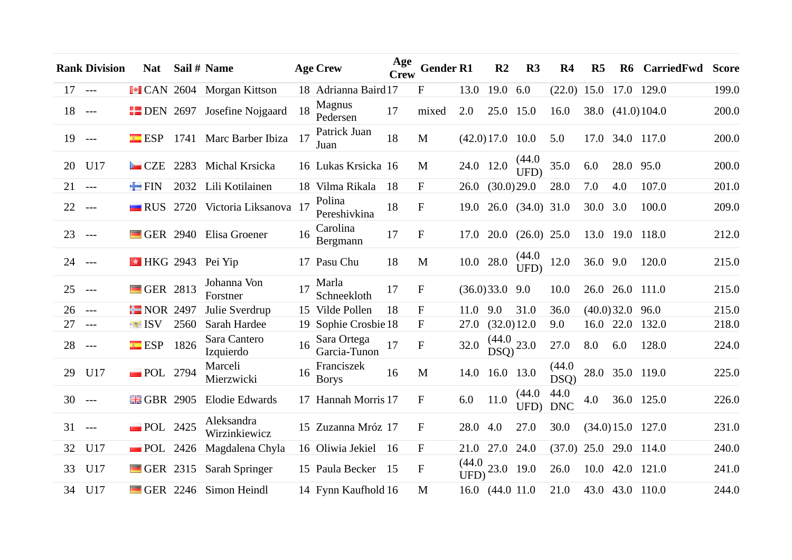|          | <b>Rank Division</b> | <b>Nat</b>                             |      | Sail # Name                        |    | <b>Age Crew</b>             | Age<br><b>Crew</b> | <b>Gender R1</b> |                | R <sub>2</sub>            | R <sub>3</sub>   | R <sub>4</sub>     | R <sub>5</sub> | ${\bf R6}$      | CarriedFwd         | <b>Score</b> |
|----------|----------------------|----------------------------------------|------|------------------------------------|----|-----------------------------|--------------------|------------------|----------------|---------------------------|------------------|--------------------|----------------|-----------------|--------------------|--------------|
| $17 - -$ |                      |                                        |      | I CAN 2604 Morgan Kittson          |    | 18 Adrianna Baird17         |                    | $\mathbf{F}$     | 13.0           | 19.0                      | 6.0              | (22.0)             | 15.0           |                 | 17.0 129.0         | 199.0        |
| 18       | $--$                 |                                        |      | <b>EDEN</b> 2697 Josefine Nojgaard | 18 | <b>Magnus</b><br>Pedersen   | 17                 | mixed            | 2.0            | 25.0 15.0                 |                  | 16.0               |                |                 | 38.0 (41.0) 104.0  | 200.0        |
| 19       | $---$                |                                        |      | ESP 1741 Marc Barber Ibiza         | 17 | Patrick Juan<br>Juan        | 18                 | M                |                | $(42.0)17.0$ 10.0         |                  | 5.0                |                |                 | 17.0 34.0 117.0    | 200.0        |
| 20       | U17                  | $\blacksquare$ CZE                     | 2283 | Michal Krsicka                     |    | 16 Lukas Krsicka 16         |                    | M                |                | 24.0 12.0                 | (44.0)<br>UFD)   | 35.0               | 6.0            | 28.0 95.0       |                    | 200.0        |
| 21       | $---$                | $\blacksquare$ FIN                     | 2032 | Lili Kotilainen                    |    | 18 Vilma Rikala             | 18                 | $\mathbf F$      | 26.0           | (30.0)29.0                |                  | 28.0               | 7.0            | 4.0             | 107.0              | 201.0        |
| 22       | $--$                 |                                        |      | RUS 2720 Victoria Liksanova 17     |    | Polina<br>Pereshivkina      | 18                 | ${\rm F}$        | 19.0           |                           | 26.0 (34.0) 31.0 |                    | 30.0           | 3.0             | 100.0              | 209.0        |
| 23       | $---$                | GER 2940                               |      | Elisa Groener                      | 16 | Carolina<br>Bergmann        | 17                 | $\mathbf F$      |                | 17.0 20.0                 | $(26.0)$ 25.0    |                    |                |                 | 13.0 19.0 118.0    | 212.0        |
| 24       | $- - -$              | $\blacktriangleright$ HKG 2943 Pei Yip |      |                                    |    | 17 Pasu Chu                 | 18                 | M                |                | 10.0 28.0                 | (44.0)<br>UFD)   | 12.0               | 36.0 9.0       |                 | 120.0              | 215.0        |
| 25       | ----                 | GER 2813                               |      | Johanna Von<br>Forstner            | 17 | Marla<br>Schneekloth        | 17                 | ${\rm F}$        |                | $(36.0)33.0$ 9.0          |                  | 10.0               |                | 26.0 26.0 111.0 |                    | 215.0        |
| 26       | $---$                | $R$ NOR 2497                           |      | Julie Sverdrup                     |    | 15 Vilde Pollen             | 18                 | F                | 11.0           | 9.0                       | 31.0             | 36.0               |                | (40.0)32.0      | 96.0               | 215.0        |
| 27       | $---$                | <b>ISV</b>                             | 2560 | Sarah Hardee                       |    | 19 Sophie Crosbie 18        |                    | $\mathbf F$      | 27.0           | (32.0)12.0                |                  | 9.0                |                | 16.0 22.0       | 132.0              | 218.0        |
| 28       | $---$                | ESP                                    | 1826 | Sara Cantero<br>Izquierdo          | 16 | Sara Ortega<br>Garcia-Tunon | 17                 | $\rm F$          | 32.0           | $\frac{(44.0)}{DSQ}$ 23.0 |                  | 27.0               | 8.0            | 6.0             | 128.0              | 224.0        |
| 29       | U17                  | <b>POL</b> 2794                        |      | Marceli<br>Mierzwicki              | 16 | Franciszek<br><b>Borys</b>  | 16                 | M                | 14.0           | 16.0 13.0                 |                  | (44.0)<br>DSQ)     |                |                 | 28.0 35.0 119.0    | 225.0        |
| 30       | $---$                | <b>HE GBR 2905</b>                     |      | <b>Elodie Edwards</b>              |    | 17 Hannah Morris 17         |                    | $\mathbf{F}$     | 6.0            | 11.0                      | (44.0)<br>UFD)   | 44.0<br><b>DNC</b> | 4.0            |                 | 36.0 125.0         | 226.0        |
| 31       | $---$                | $\blacksquare$ POL 2425                |      | Aleksandra<br>Wirzinkiewicz        |    | 15 Zuzanna Mróz 17          |                    | F                | 28.0           | 4.0                       | 27.0             | 30.0               |                |                 | $(34.0)15.0$ 127.0 | 231.0        |
| 32       | U17                  | $\blacksquare$ POL                     | 2426 | Magdalena Chyla                    |    | 16 Oliwia Jekiel 16         |                    | $\mathbf F$      | 21.0           | 27.0                      | 24.0             | (37.0)             | 25.0           |                 | 29.0 114.0         | 240.0        |
| 33       | U17                  | $\blacksquare$ GER 2315                |      | Sarah Springer                     |    | 15 Paula Becker 15          |                    | $\mathbf F$      | (44.0)<br>UFD) | 23.0 19.0                 |                  | 26.0               | 10.0           |                 | 42.0 121.0         | 241.0        |
| 34       | U17                  |                                        |      | GER 2246 Simon Heindl              |    | 14 Fynn Kaufhold 16         |                    | M                |                | 16.0 (44.0 11.0           |                  | 21.0               |                |                 | 43.0 43.0 110.0    | 244.0        |